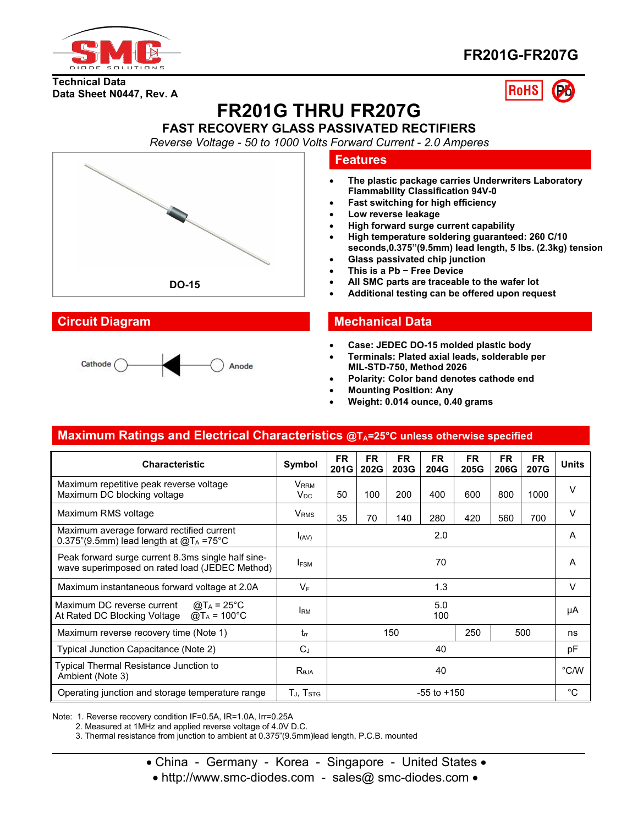

### **FR201G-FR207G**

**Technical Data Data Sheet N0447, Rev. A**

# **RoHS**



## **FR201G THRU FR207G**

#### **FAST RECOVERY GLASS PASSIVATED RECTIFIERS**

*Reverse Voltage -50 to 1000 Volts Forward Current -2.0 Amperes*



#### **Features**

- **The plastic package carries Underwriters Laboratory Flammability Classification 94V-0**
- **Fast switching for high efficiency**
- **Low reverse leakage**
- **High forward surge current capability**
- **High temperature soldering guaranteed: 260 C/10 seconds,0.375"(9.5mm) lead length, 5 lbs.(2.3kg) tension**
- **Glass passivated chip junction**
- **This is a Pb − Free Device**
- **All SMC parts are traceable to the wafer lot**
- **Additional testing can be offered upon request**

#### **Circuit Diagram Mechanical Data**

- **Case: JEDEC DO-15molded plastic body**
- **Terminals: Plated axial leads, solderable per MIL-STD-750, Method 2026**
- **Polarity: Color band denotes cathode end**
- **Mounting Position: Any**
- **Weight: 0.014 ounce, 0.40 grams**

#### **Maximum Ratings and Electrical Characteristics @TA=25°C unless otherwise specified**

| <b>Characteristic</b>                                                                                                                      | Symbol                         | <b>FR</b><br>201G | <b>FR</b><br>202G | <b>FR</b><br>203G | <b>FR</b><br>204G | <b>FR</b><br>205G | <b>FR</b><br>206G | <b>FR</b><br>207G | Units  |
|--------------------------------------------------------------------------------------------------------------------------------------------|--------------------------------|-------------------|-------------------|-------------------|-------------------|-------------------|-------------------|-------------------|--------|
| Maximum repetitive peak reverse voltage<br>Maximum DC blocking voltage                                                                     | $V_{\rm{RRM}}$<br>$V_{\rm DC}$ | 50                | 100               | 200               | 400               | 600               | 800               | 1000              | $\vee$ |
| Maximum RMS voltage                                                                                                                        | V <sub>RMS</sub>               | 35                | 70                | 140               | 280               | 420               | 560               | 700               | V      |
| Maximum average forward rectified current<br>0.375"(9.5mm) lead length at $@T_A = 75^{\circ}C$                                             | I(AV)                          | 2.0               |                   |                   | A                 |                   |                   |                   |        |
| Peak forward surge current 8.3ms single half sine-<br>wave superimposed on rated load (JEDEC Method)                                       | <b>IFSM</b>                    | 70                |                   |                   | A                 |                   |                   |                   |        |
| Maximum instantaneous forward voltage at 2.0A                                                                                              | $V_F$                          | 1.3               |                   |                   | v                 |                   |                   |                   |        |
| Maximum DC reverse current<br>@T <sub>A</sub> = 25°C<br>At Rated DC Blocking Voltage $\textcircled{a}$ T <sub>A</sub> = 100 <sup>°</sup> C | <b>IRM</b>                     | 5.0<br>100        |                   |                   |                   | μA                |                   |                   |        |
| Maximum reverse recovery time (Note 1)                                                                                                     | $t_{rr}$                       | 150               |                   |                   | 250               |                   | 500               | ns                |        |
| Typical Junction Capacitance (Note 2)                                                                                                      | $C_J$                          | 40                |                   |                   | рF                |                   |                   |                   |        |
| Typical Thermal Resistance Junction to<br>Ambient (Note 3)                                                                                 | R <sub>0JA</sub>               | 40                |                   |                   | °C/W              |                   |                   |                   |        |
| Operating junction and storage temperature range                                                                                           | $T_{\rm J}$ , $T_{\rm STG}$    | $-55$ to $+150$   |                   |                   | °С                |                   |                   |                   |        |

Note: 1. Reverse recovery condition IF=0.5A, IR=1.0A, Irr=0.25A

2. Measured at 1MHz and applied reverse voltage of 4.0V D.C.

3. Thermal resistance from junction to ambient at 0.375"(9.5mm)lead length, P.C.B. mounted

- China Germany Korea Singapore United States •
- http://www.smc-diodes.com sales@ smc-diodes.com •

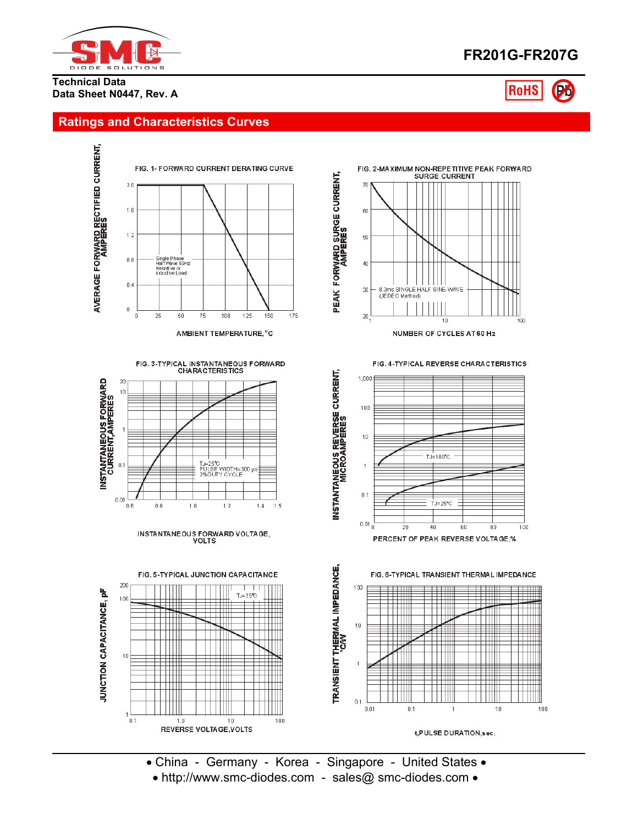

### **FR201G-FR207G**

**RoHS** 

**Technical Data Data Sheet N0447, Rev. A**

#### **Ratings and Characteristics Curves**



AMBIENT TEMPERATURE, °C





INSTANTANEOUS FORWARD VOLTAGE,









• China - Germany - Korea - Singapore - United States • • http://www.smc-diodes.com - sales@ smc-diodes.com •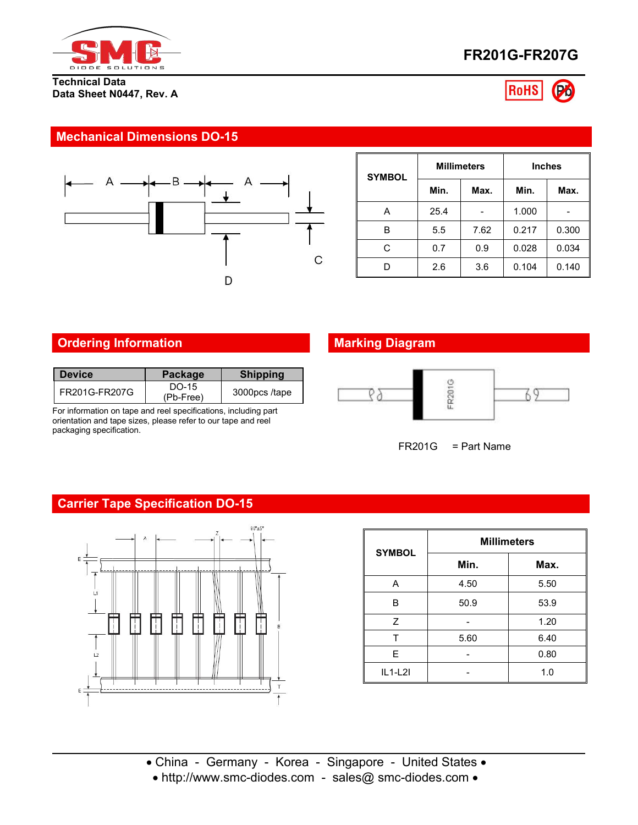

#### **Technical Data Data Sheet N0447, Rev. A**





#### **Mechanical Dimensions DO-15**



| <b>SYMBOL</b> | <b>Millimeters</b> |      | <b>Inches</b> |       |  |  |
|---------------|--------------------|------|---------------|-------|--|--|
|               | Min.               | Max. | Min.          | Max.  |  |  |
| Α             | 25.4               | -    | 1.000         | -     |  |  |
| В             | 5.5                | 7.62 | 0.217         | 0.300 |  |  |
| С             | 0.7                | 0.9  | 0.028         | 0.034 |  |  |
| D             | 2.6                | 3.6  | 0.104         | 0.140 |  |  |

#### **Ordering Information Marking Diagram**

| l Device        | <b>Package</b>     | <b>Shipping</b> |
|-----------------|--------------------|-----------------|
| l FR201G-FR207G | DO-15<br>(Pb-Free) | 3000pcs/tape    |

For information on tape and reel specifications, including part orientation and tape sizes, please refer to our tape and reel packaging specification.



FR201G = Part Name

#### **Carrier Tape Specification DO-15**



| <b>SYMBOL</b> | <b>Millimeters</b> |      |  |  |  |  |
|---------------|--------------------|------|--|--|--|--|
|               | Min.               | Max. |  |  |  |  |
| Α             | 4.50               | 5.50 |  |  |  |  |
| B             | 50.9               | 53.9 |  |  |  |  |
| Z             |                    | 1.20 |  |  |  |  |
| т             | 5.60               | 6.40 |  |  |  |  |
| E             |                    | 0.80 |  |  |  |  |
| $IL1-L2I$     |                    | 1.0  |  |  |  |  |